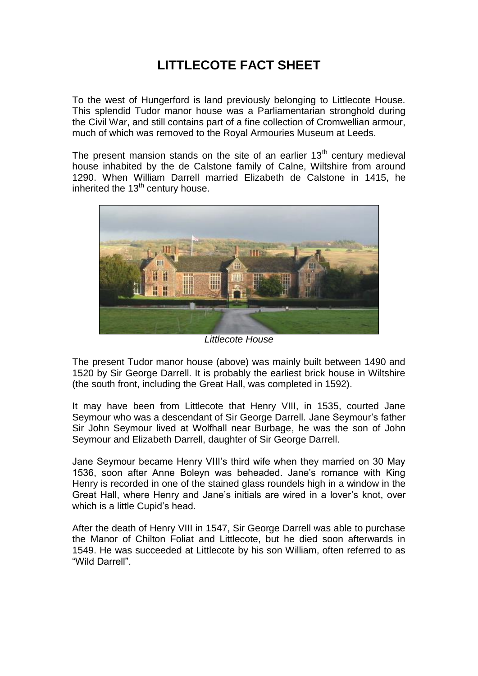## **LITTLECOTE FACT SHEET**

To the west of Hungerford is land previously belonging to Littlecote House. This splendid Tudor manor house was a Parliamentarian stronghold during the Civil War, and still contains part of a fine collection of Cromwellian armour, much of which was removed to the Royal Armouries Museum at Leeds.

The present mansion stands on the site of an earlier  $13<sup>th</sup>$  century medieval house inhabited by the de Calstone family of Calne, Wiltshire from around 1290. When William Darrell married Elizabeth de Calstone in 1415, he inherited the  $13<sup>th</sup>$  century house.



*Littlecote House*

The present Tudor manor house (above) was mainly built between 1490 and 1520 by Sir George Darrell. It is probably the earliest brick house in Wiltshire (the south front, including the Great Hall, was completed in 1592).

It may have been from Littlecote that Henry VIII, in 1535, courted Jane Seymour who was a descendant of Sir George Darrell. Jane Seymour's father Sir John Seymour lived at Wolfhall near Burbage, he was the son of John Seymour and Elizabeth Darrell, daughter of Sir George Darrell.

Jane Seymour became Henry VIII's third wife when they married on 30 May 1536, soon after Anne Boleyn was beheaded. Jane's romance with King Henry is recorded in one of the stained glass roundels high in a window in the Great Hall, where Henry and Jane's initials are wired in a lover's knot, over which is a little Cupid's head.

After the death of Henry VIII in 1547, Sir George Darrell was able to purchase the Manor of Chilton Foliat and Littlecote, but he died soon afterwards in 1549. He was succeeded at Littlecote by his son William, often referred to as "Wild Darrell".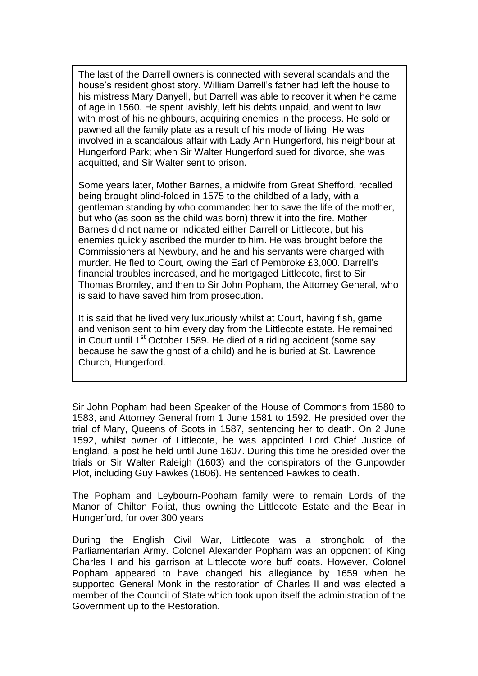The last of the Darrell owners is connected with several scandals and the house's resident ghost story. William Darrell's father had left the house to his mistress Mary Danyell, but Darrell was able to recover it when he came of age in 1560. He spent lavishly, left his debts unpaid, and went to law with most of his neighbours, acquiring enemies in the process. He sold or pawned all the family plate as a result of his mode of living. He was involved in a scandalous affair with Lady Ann Hungerford, his neighbour at Hungerford Park; when Sir Walter Hungerford sued for divorce, she was acquitted, and Sir Walter sent to prison.

Some years later, Mother Barnes, a midwife from Great Shefford, recalled being brought blind-folded in 1575 to the childbed of a lady, with a gentleman standing by who commanded her to save the life of the mother, but who (as soon as the child was born) threw it into the fire. Mother Barnes did not name or indicated either Darrell or Littlecote, but his enemies quickly ascribed the murder to him. He was brought before the Commissioners at Newbury, and he and his servants were charged with murder. He fled to Court, owing the Earl of Pembroke £3,000. Darrell's financial troubles increased, and he mortgaged Littlecote, first to Sir Thomas Bromley, and then to Sir John Popham, the Attorney General, who is said to have saved him from prosecution.

It is said that he lived very luxuriously whilst at Court, having fish, game and venison sent to him every day from the Littlecote estate. He remained in Court until 1<sup>st</sup> October 1589. He died of a riding accident (some say because he saw the ghost of a child) and he is buried at St. Lawrence Church, Hungerford.

Sir John Popham had been Speaker of the House of Commons from 1580 to 1583, and Attorney General from 1 June 1581 to 1592. He presided over the trial of Mary, Queens of Scots in 1587, sentencing her to death. On 2 June 1592, whilst owner of Littlecote, he was appointed Lord Chief Justice of England, a post he held until June 1607. During this time he presided over the trials or Sir Walter Raleigh (1603) and the conspirators of the Gunpowder Plot, including Guy Fawkes (1606). He sentenced Fawkes to death.

The Popham and Leybourn-Popham family were to remain Lords of the Manor of Chilton Foliat, thus owning the Littlecote Estate and the Bear in Hungerford, for over 300 years

During the English Civil War, Littlecote was a stronghold of the Parliamentarian Army. Colonel Alexander Popham was an opponent of King Charles I and his garrison at Littlecote wore buff coats. However, Colonel Popham appeared to have changed his allegiance by 1659 when he supported General Monk in the restoration of Charles II and was elected a member of the Council of State which took upon itself the administration of the Government up to the Restoration.